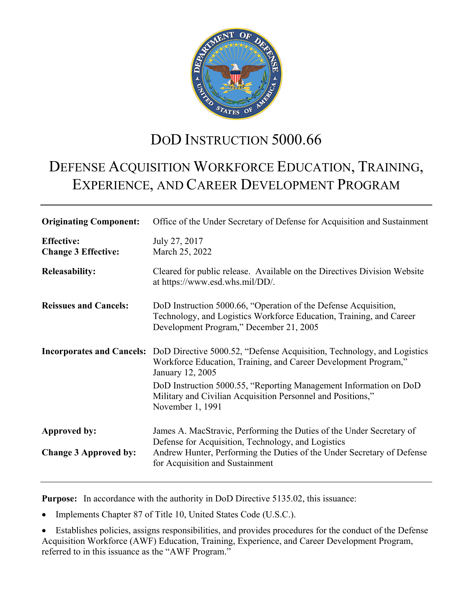

# DOD INSTRUCTION 5000.66

# DEFENSE ACQUISITION WORKFORCE EDUCATION, TRAINING, EXPERIENCE, AND CAREER DEVELOPMENT PROGRAM

| <b>Originating Component:</b>                   | Office of the Under Secretary of Defense for Acquisition and Sustainment                                                                                                                                                                                                                                                                               |
|-------------------------------------------------|--------------------------------------------------------------------------------------------------------------------------------------------------------------------------------------------------------------------------------------------------------------------------------------------------------------------------------------------------------|
| <b>Effective:</b><br><b>Change 3 Effective:</b> | July 27, 2017<br>March 25, 2022                                                                                                                                                                                                                                                                                                                        |
| <b>Releasability:</b>                           | Cleared for public release. Available on the Directives Division Website<br>at https://www.esd.whs.mil/DD/.                                                                                                                                                                                                                                            |
| <b>Reissues and Cancels:</b>                    | DoD Instruction 5000.66, "Operation of the Defense Acquisition,<br>Technology, and Logistics Workforce Education, Training, and Career<br>Development Program," December 21, 2005                                                                                                                                                                      |
|                                                 | <b>Incorporates and Cancels:</b> DoD Directive 5000.52, "Defense Acquisition, Technology, and Logistics<br>Workforce Education, Training, and Career Development Program,"<br>January 12, 2005<br>DoD Instruction 5000.55, "Reporting Management Information on DoD<br>Military and Civilian Acquisition Personnel and Positions,"<br>November 1, 1991 |
| Approved by:<br><b>Change 3 Approved by:</b>    | James A. MacStravic, Performing the Duties of the Under Secretary of<br>Defense for Acquisition, Technology, and Logistics<br>Andrew Hunter, Performing the Duties of the Under Secretary of Defense<br>for Acquisition and Sustainment                                                                                                                |

**Purpose:** In accordance with the authority in DoD Directive 5135.02, this issuance:

• Implements Chapter 87 of Title 10, United States Code (U.S.C.).

• Establishes policies, assigns responsibilities, and provides procedures for the conduct of the Defense Acquisition Workforce (AWF) Education, Training, Experience, and Career Development Program, referred to in this issuance as the "AWF Program."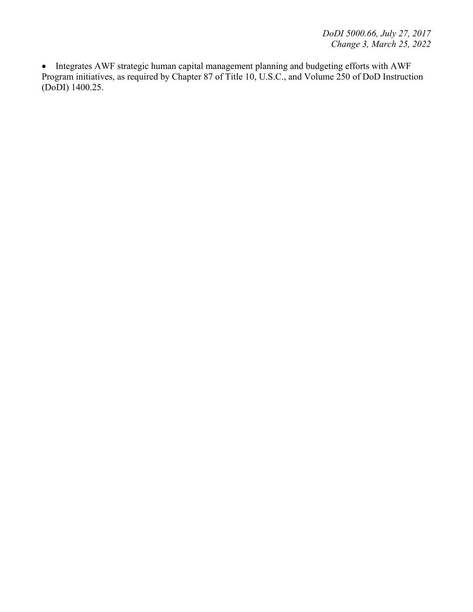• Integrates AWF strategic human capital management planning and budgeting efforts with AWF Program initiatives, as required by Chapter 87 of Title 10, U.S.C., and Volume 250 of DoD Instruction (DoDI) 1400.25.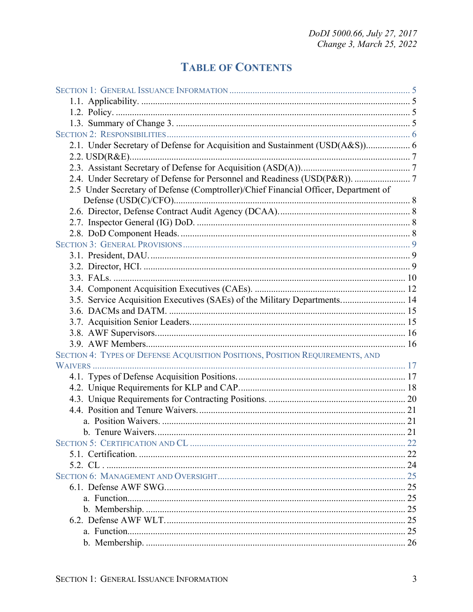## **TABLE OF CONTENTS**

| 2.1. Under Secretary of Defense for Acquisition and Sustainment (USD(A&S)) 6        |  |
|-------------------------------------------------------------------------------------|--|
|                                                                                     |  |
|                                                                                     |  |
| 2.4. Under Secretary of Defense for Personnel and Readiness (USD(P&R)).  7          |  |
| 2.5 Under Secretary of Defense (Comptroller)/Chief Financial Officer, Department of |  |
|                                                                                     |  |
|                                                                                     |  |
|                                                                                     |  |
|                                                                                     |  |
|                                                                                     |  |
|                                                                                     |  |
|                                                                                     |  |
|                                                                                     |  |
|                                                                                     |  |
| 3.5. Service Acquisition Executives (SAEs) of the Military Departments 14           |  |
|                                                                                     |  |
|                                                                                     |  |
|                                                                                     |  |
|                                                                                     |  |
| SECTION 4: TYPES OF DEFENSE ACQUISITION POSITIONS, POSITION REQUIREMENTS, AND       |  |
|                                                                                     |  |
|                                                                                     |  |
|                                                                                     |  |
|                                                                                     |  |
|                                                                                     |  |
|                                                                                     |  |
|                                                                                     |  |
|                                                                                     |  |
|                                                                                     |  |
|                                                                                     |  |
|                                                                                     |  |
|                                                                                     |  |
|                                                                                     |  |
|                                                                                     |  |
|                                                                                     |  |
|                                                                                     |  |
|                                                                                     |  |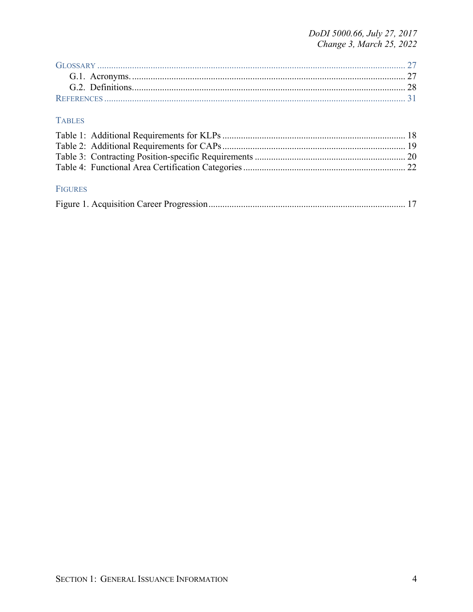DoDI 5000.66, July 27, 2017<br>Change 3, March 25, 2022

#### **TABLES**

| <b>FIGURES</b> |  |
|----------------|--|
|                |  |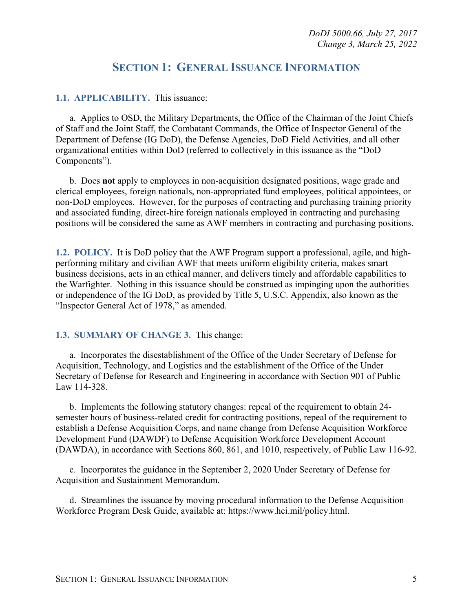### **SECTION 1: GENERAL ISSUANCE INFORMATION**

#### <span id="page-4-1"></span><span id="page-4-0"></span>**1.1. APPLICABILITY.** This issuance:

a. Applies to OSD, the Military Departments, the Office of the Chairman of the Joint Chiefs of Staff and the Joint Staff, the Combatant Commands, the Office of Inspector General of the Department of Defense (IG DoD), the Defense Agencies, DoD Field Activities, and all other organizational entities within DoD (referred to collectively in this issuance as the "DoD Components").

b. Does **not** apply to employees in non-acquisition designated positions, wage grade and clerical employees, foreign nationals, non-appropriated fund employees, political appointees, or non-DoD employees. However, for the purposes of contracting and purchasing training priority and associated funding, direct-hire foreign nationals employed in contracting and purchasing positions will be considered the same as AWF members in contracting and purchasing positions.

<span id="page-4-2"></span>**1.2. POLICY.** It is DoD policy that the AWF Program support a professional, agile, and highperforming military and civilian AWF that meets uniform eligibility criteria, makes smart business decisions, acts in an ethical manner, and delivers timely and affordable capabilities to the Warfighter. Nothing in this issuance should be construed as impinging upon the authorities or independence of the IG DoD, as provided by Title 5, U.S.C. Appendix, also known as the "Inspector General Act of 1978," as amended.

#### <span id="page-4-3"></span>**1.3. SUMMARY OF CHANGE 3.**This change:

a. Incorporates the disestablishment of the Office of the Under Secretary of Defense for Acquisition, Technology, and Logistics and the establishment of the Office of the Under Secretary of Defense for Research and Engineering in accordance with Section 901 of Public Law 114-328.

b. Implements the following statutory changes: repeal of the requirement to obtain 24 semester hours of business-related credit for contracting positions, repeal of the requirement to establish a Defense Acquisition Corps, and name change from Defense Acquisition Workforce Development Fund (DAWDF) to Defense Acquisition Workforce Development Account (DAWDA), in accordance with Sections 860, 861, and 1010, respectively, of Public Law 116-92.

c. Incorporates the guidance in the September 2, 2020 Under Secretary of Defense for Acquisition and Sustainment Memorandum.

d. Streamlines the issuance by moving procedural information to the Defense Acquisition Workforce Program Desk Guide, available at: https://www.hci.mil/policy.html.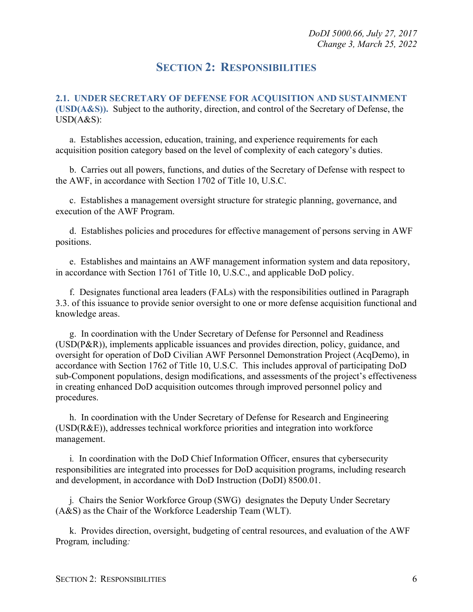### **SECTION 2: RESPONSIBILITIES**

<span id="page-5-1"></span><span id="page-5-0"></span>**2.1. UNDER SECRETARY OF DEFENSE FOR ACQUISITION AND SUSTAINMENT (USD(A&S)).** Subject to the authority, direction, and control of the Secretary of Defense, the USD(A&S):

a. Establishes accession, education, training, and experience requirements for each acquisition position category based on the level of complexity of each category's duties.

b. Carries out all powers, functions, and duties of the Secretary of Defense with respect to the AWF, in accordance with Section 1702 of Title 10, U.S.C.

c. Establishes a management oversight structure for strategic planning, governance, and execution of the AWF Program.

d. Establishes policies and procedures for effective management of persons serving in AWF positions.

e. Establishes and maintains an AWF management information system and data repository, in accordance with Section 1761 of Title 10, U.S.C., and applicable DoD policy.

f. Designates functional area leaders (FALs) with the responsibilities outlined in Paragraph 3.3. of this issuance to provide senior oversight to one or more defense acquisition functional and knowledge areas.

g. In coordination with the Under Secretary of Defense for Personnel and Readiness (USD(P&R)), implements applicable issuances and provides direction, policy, guidance, and oversight for operation of DoD Civilian AWF Personnel Demonstration Project (AcqDemo), in accordance with Section 1762 of Title 10, U.S.C. This includes approval of participating DoD sub-Component populations, design modifications, and assessments of the project's effectiveness in creating enhanced DoD acquisition outcomes through improved personnel policy and procedures.

h. In coordination with the Under Secretary of Defense for Research and Engineering (USD(R&E)), addresses technical workforce priorities and integration into workforce management.

i*.* In coordination with the DoD Chief Information Officer, ensures that cybersecurity responsibilities are integrated into processes for DoD acquisition programs, including research and development, in accordance with DoD Instruction (DoDI) 8500.01.

j*.* Chairs the Senior Workforce Group (SWG) designates the Deputy Under Secretary (A&S) as the Chair of the Workforce Leadership Team (WLT).

k. Provides direction, oversight, budgeting of central resources, and evaluation of the AWF Program*,* including*:*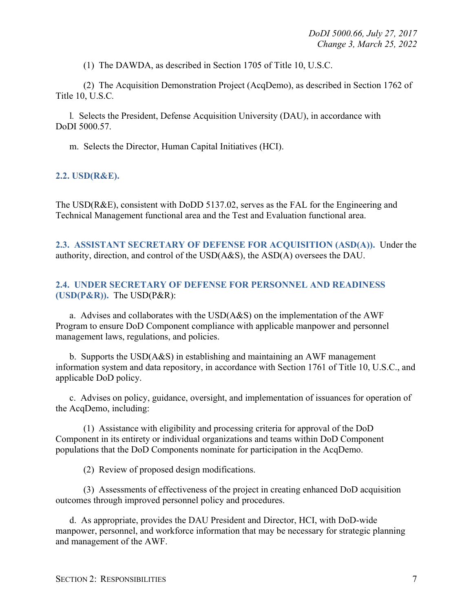(1) The DAWDA, as described in Section 1705 of Title 10, U.S.C.

(2) The Acquisition Demonstration Project (AcqDemo), as described in Section 1762 of Title 10, U.S.C*.* 

l*.* Selects the President, Defense Acquisition University (DAU), in accordance with DoDI 5000.57.

m. Selects the Director, Human Capital Initiatives (HCI).

#### <span id="page-6-0"></span>**2.2. USD(R&E).**

The USD(R&E), consistent with DoDD 5137.02, serves as the FAL for the Engineering and Technical Management functional area and the Test and Evaluation functional area.

<span id="page-6-1"></span>**2.3. ASSISTANT SECRETARY OF DEFENSE FOR ACQUISITION (ASD(A)).** Under the authority, direction, and control of the USD(A&S), the ASD(A) oversees the DAU.

#### <span id="page-6-2"></span>**2.4. UNDER SECRETARY OF DEFENSE FOR PERSONNEL AND READINESS (USD(P&R)).** The USD(P&R):

a. Advises and collaborates with the USD(A&S) on the implementation of the AWF Program to ensure DoD Component compliance with applicable manpower and personnel management laws, regulations, and policies.

b. Supports the USD(A&S) in establishing and maintaining an AWF management information system and data repository, in accordance with Section 1761 of Title 10, U.S.C., and applicable DoD policy.

c. Advises on policy, guidance, oversight, and implementation of issuances for operation of the AcqDemo, including:

(1) Assistance with eligibility and processing criteria for approval of the DoD Component in its entirety or individual organizations and teams within DoD Component populations that the DoD Components nominate for participation in the AcqDemo.

(2) Review of proposed design modifications.

(3) Assessments of effectiveness of the project in creating enhanced DoD acquisition outcomes through improved personnel policy and procedures.

d. As appropriate, provides the DAU President and Director, HCI, with DoD-wide manpower, personnel, and workforce information that may be necessary for strategic planning and management of the AWF.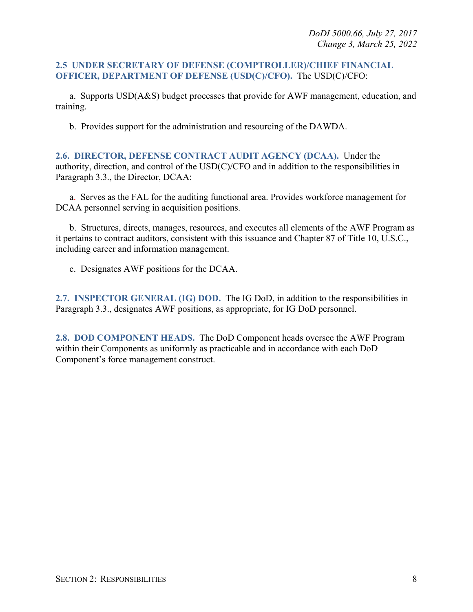#### <span id="page-7-0"></span>**2.5 UNDER SECRETARY OF DEFENSE (COMPTROLLER)/CHIEF FINANCIAL OFFICER, DEPARTMENT OF DEFENSE (USD(C)/CFO).** The USD(C)/CFO:

a. Supports USD(A&S) budget processes that provide for AWF management, education, and training.

b. Provides support for the administration and resourcing of the DAWDA.

<span id="page-7-1"></span>**2.6. DIRECTOR, DEFENSE CONTRACT AUDIT AGENCY (DCAA).** Under the authority, direction, and control of the USD(C)/CFO and in addition to the responsibilities in Paragraph 3.3., the Director, DCAA:

a. Serves as the FAL for the auditing functional area. Provides workforce management for DCAA personnel serving in acquisition positions.

b. Structures, directs, manages, resources, and executes all elements of the AWF Program as it pertains to contract auditors, consistent with this issuance and Chapter 87 of Title 10, U.S.C., including career and information management.

c. Designates AWF positions for the DCAA.

<span id="page-7-2"></span>**2.7. INSPECTOR GENERAL (IG) DOD.** The IG DoD, in addition to the responsibilities in Paragraph 3.3., designates AWF positions, as appropriate, for IG DoD personnel.

<span id="page-7-3"></span>**2.8. DOD COMPONENT HEADS.** The DoD Component heads oversee the AWF Program within their Components as uniformly as practicable and in accordance with each DoD Component's force management construct.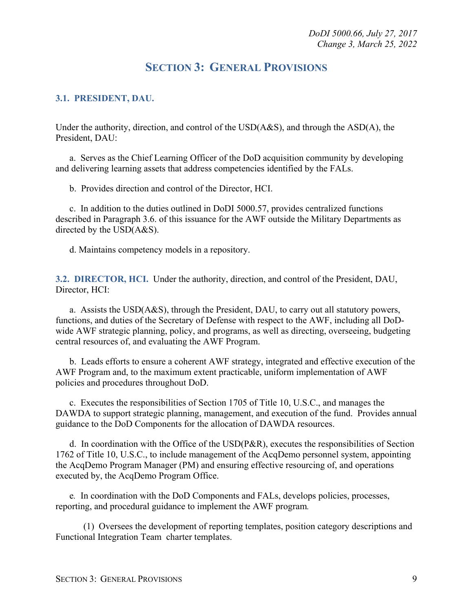### **SECTION 3: GENERAL PROVISIONS**

#### <span id="page-8-1"></span><span id="page-8-0"></span>**3.1. PRESIDENT, DAU.**

Under the authority, direction, and control of the USD(A&S), and through the ASD(A), the President, DAU:

a. Serves as the Chief Learning Officer of the DoD acquisition community by developing and delivering learning assets that address competencies identified by the FALs.

b. Provides direction and control of the Director, HCI.

c. In addition to the duties outlined in DoDI 5000.57, provides centralized functions described in Paragraph 3.6. of this issuance for the AWF outside the Military Departments as directed by the USD(A&S).

d. Maintains competency models in a repository.

<span id="page-8-2"></span>**3.2. DIRECTOR, HCI.** Under the authority, direction, and control of the President, DAU, Director, HCI:

a. Assists the USD(A&S), through the President, DAU, to carry out all statutory powers, functions, and duties of the Secretary of Defense with respect to the AWF, including all DoDwide AWF strategic planning, policy, and programs, as well as directing, overseeing, budgeting central resources of, and evaluating the AWF Program.

b. Leads efforts to ensure a coherent AWF strategy, integrated and effective execution of the AWF Program and, to the maximum extent practicable, uniform implementation of AWF policies and procedures throughout DoD.

c. Executes the responsibilities of Section 1705 of Title 10, U.S.C., and manages the DAWDA to support strategic planning, management, and execution of the fund. Provides annual guidance to the DoD Components for the allocation of DAWDA resources.

d. In coordination with the Office of the USD(P&R), executes the responsibilities of Section 1762 of Title 10, U.S.C., to include management of the AcqDemo personnel system, appointing the AcqDemo Program Manager (PM) and ensuring effective resourcing of, and operations executed by, the AcqDemo Program Office.

e*.* In coordination with the DoD Components and FALs, develops policies, processes, reporting, and procedural guidance to implement the AWF program*.*

(1)Oversees the development of reporting templates, position category descriptions and Functional Integration Teamcharter templates.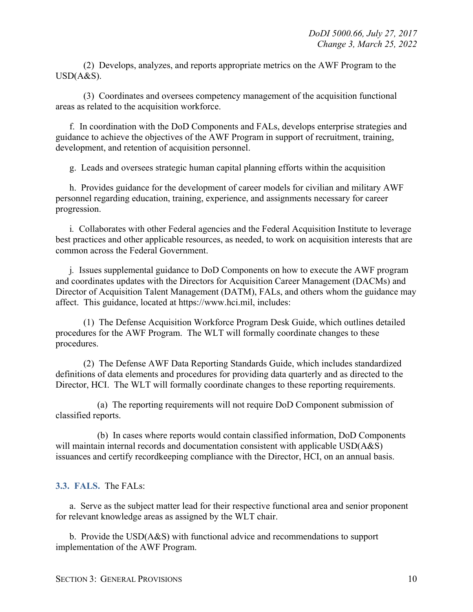(2)Develops, analyzes, and reports appropriate metrics on the AWF Program to the USD(A&S).

(3) Coordinates and oversees competency management of the acquisition functional areas as related to the acquisition workforce.

f. In coordination with the DoD Components and FALs, develops enterprise strategies and guidance to achieve the objectives of the AWF Program in support of recruitment, training, development, and retention of acquisition personnel.

g. Leads and oversees strategic human capital planning efforts within the acquisition

h. Provides guidance for the development of career models for civilian and military AWF personnel regarding education, training, experience, and assignments necessary for career progression.

i*.* Collaborates with other Federal agencies and the Federal Acquisition Institute to leverage best practices and other applicable resources, as needed, to work on acquisition interests that are common across the Federal Government.

j*.* Issues supplemental guidance to DoD Components on how to execute the AWF program and coordinates updates with the Directors for Acquisition Career Management (DACMs) and Director of Acquisition Talent Management (DATM), FALs, and others whom the guidance may affect. This guidance, located at https://www.hci.mil, includes:

(1) The Defense Acquisition Workforce Program Desk Guide, which outlines detailed procedures for the AWF Program. The WLT will formally coordinate changes to these procedures.

(2) The Defense AWF Data Reporting Standards Guide, which includes standardized definitions of data elements and procedures for providing data quarterly and as directed to the Director, HCI. The WLT will formally coordinate changes to these reporting requirements.

(a) The reporting requirements will not require DoD Component submission of classified reports.

(b) In cases where reports would contain classified information, DoD Components will maintain internal records and documentation consistent with applicable USD(A&S) issuances and certify recordkeeping compliance with the Director, HCI, on an annual basis.

#### <span id="page-9-0"></span>**3.3. FALS.** The FALs:

a. Serve as the subject matter lead for their respective functional area and senior proponent for relevant knowledge areas as assigned by the WLT chair.

b. Provide the USD(A&S) with functional advice and recommendations to support implementation of the AWF Program.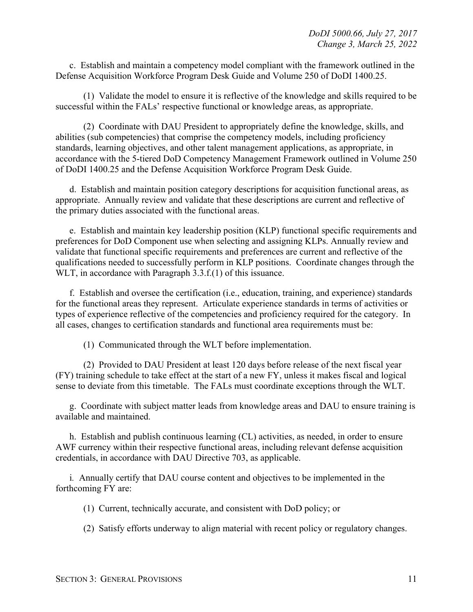c. Establish and maintain a competency model compliant with the framework outlined in the Defense Acquisition Workforce Program Desk Guide and Volume 250 of DoDI 1400.25.

(1) Validate the model to ensure it is reflective of the knowledge and skills required to be successful within the FALs' respective functional or knowledge areas, as appropriate.

(2) Coordinate with DAU President to appropriately define the knowledge, skills, and abilities (sub competencies) that comprise the competency models, including proficiency standards, learning objectives, and other talent management applications, as appropriate, in accordance with the 5-tiered DoD Competency Management Framework outlined in Volume 250 of DoDI 1400.25 and the Defense Acquisition Workforce Program Desk Guide.

d. Establish and maintain position category descriptions for acquisition functional areas, as appropriate. Annually review and validate that these descriptions are current and reflective of the primary duties associated with the functional areas.

e. Establish and maintain key leadership position (KLP) functional specific requirements and preferences for DoD Component use when selecting and assigning KLPs. Annually review and validate that functional specific requirements and preferences are current and reflective of the qualifications needed to successfully perform in KLP positions. Coordinate changes through the WLT, in accordance with Paragraph 3.3.f.(1) of this issuance.

f. Establish and oversee the certification (i.e., education, training, and experience) standards for the functional areas they represent. Articulate experience standards in terms of activities or types of experience reflective of the competencies and proficiency required for the category. In all cases, changes to certification standards and functional area requirements must be:

(1) Communicated through the WLT before implementation.

(2) Provided to DAU President at least 120 days before release of the next fiscal year (FY) training schedule to take effect at the start of a new FY, unless it makes fiscal and logical sense to deviate from this timetable. The FALs must coordinate exceptions through the WLT.

g. Coordinate with subject matter leads from knowledge areas and DAU to ensure training is available and maintained.

h. Establish and publish continuous learning (CL) activities, as needed, in order to ensure AWF currency within their respective functional areas, including relevant defense acquisition credentials, in accordance with DAU Directive 703, as applicable.

i*.* Annually certify that DAU course content and objectives to be implemented in the forthcoming FY are:

(1) Current, technically accurate, and consistent with DoD policy; or

(2) Satisfy efforts underway to align material with recent policy or regulatory changes.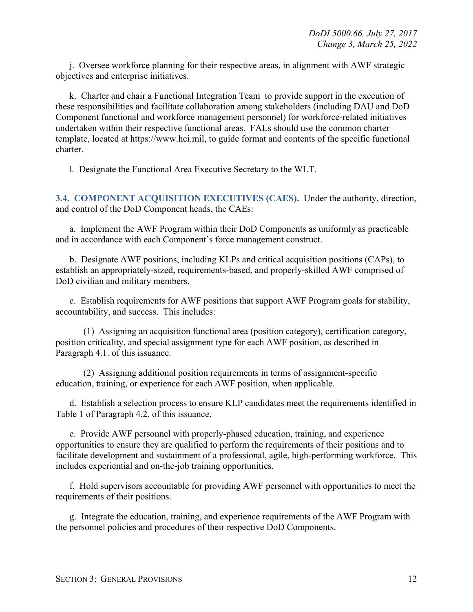j. Oversee workforce planning for their respective areas, in alignment with AWF strategic objectives and enterprise initiatives.

k. Charter and chair a Functional Integration Teamto provide support in the execution of these responsibilities and facilitate collaboration among stakeholders (including DAU and DoD Component functional and workforce management personnel) for workforce-related initiatives undertaken within their respective functional areas. FALs should use the common charter template, located at https://www.hci.mil, to guide format and contents of the specific functional charter.

l*.* Designate the Functional Area Executive Secretary to the WLT.

<span id="page-11-0"></span>**3.4. COMPONENT ACQUISITION EXECUTIVES (CAES).** Under the authority, direction, and control of the DoD Component heads, the CAEs:

a. Implement the AWF Program within their DoD Components as uniformly as practicable and in accordance with each Component's force management construct.

b. Designate AWF positions, including KLPs and critical acquisition positions (CAPs), to establish an appropriately-sized, requirements-based, and properly-skilled AWF comprised of DoD civilian and military members.

c. Establish requirements for AWF positions that support AWF Program goals for stability, accountability, and success. This includes:

(1) Assigning an acquisition functional area (position category), certification category, position criticality, and special assignment type for each AWF position, as described in Paragraph 4.1. of this issuance.

(2) Assigning additional position requirements in terms of assignment-specific education, training, or experience for each AWF position, when applicable.

d. Establish a selection process to ensure KLP candidates meet the requirements identified in Table 1 of Paragraph 4.2. of this issuance.

e. Provide AWF personnel with properly-phased education, training, and experience opportunities to ensure they are qualified to perform the requirements of their positions and to facilitate development and sustainment of a professional, agile, high-performing workforce. This includes experiential and on-the-job training opportunities.

f. Hold supervisors accountable for providing AWF personnel with opportunities to meet the requirements of their positions.

g. Integrate the education, training, and experience requirements of the AWF Program with the personnel policies and procedures of their respective DoD Components.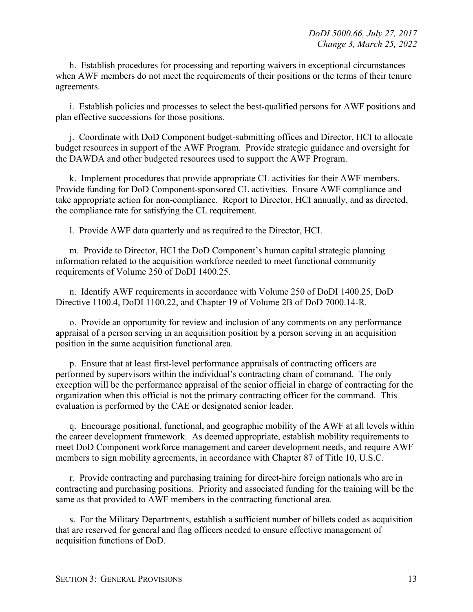h. Establish procedures for processing and reporting waivers in exceptional circumstances when AWF members do not meet the requirements of their positions or the terms of their tenure agreements.

i. Establish policies and processes to select the best-qualified persons for AWF positions and plan effective successions for those positions.

j. Coordinate with DoD Component budget-submitting offices and Director, HCI to allocate budget resources in support of the AWF Program. Provide strategic guidance and oversight for the DAWDA and other budgeted resources used to support the AWF Program.

k. Implement procedures that provide appropriate CL activities for their AWF members. Provide funding for DoD Component-sponsored CL activities. Ensure AWF compliance and take appropriate action for non-compliance. Report to Director, HCI annually, and as directed, the compliance rate for satisfying the CL requirement.

l. Provide AWF data quarterly and as required to the Director, HCI.

m. Provide to Director, HCI the DoD Component's human capital strategic planning information related to the acquisition workforce needed to meet functional community requirements of Volume 250 of DoDI 1400.25.

n. Identify AWF requirements in accordance with Volume 250 of DoDI 1400.25, DoD Directive 1100.4, DoDI 1100.22, and Chapter 19 of Volume 2B of DoD 7000.14-R.

o. Provide an opportunity for review and inclusion of any comments on any performance appraisal of a person serving in an acquisition position by a person serving in an acquisition position in the same acquisition functional area.

p. Ensure that at least first-level performance appraisals of contracting officers are performed by supervisors within the individual's contracting chain of command. The only exception will be the performance appraisal of the senior official in charge of contracting for the organization when this official is not the primary contracting officer for the command. This evaluation is performed by the CAE or designated senior leader.

q. Encourage positional, functional, and geographic mobility of the AWF at all levels within the career development framework. As deemed appropriate, establish mobility requirements to meet DoD Component workforce management and career development needs, and require AWF members to sign mobility agreements, in accordance with Chapter 87 of Title 10, U.S.C.

r. Provide contracting and purchasing training for direct-hire foreign nationals who are in contracting and purchasing positions. Priority and associated funding for the training will be the same as that provided to AWF members in the contracting functional area*.*

s. For the Military Departments, establish a sufficient number of billets coded as acquisition that are reserved for general and flag officers needed to ensure effective management of acquisition functions of DoD.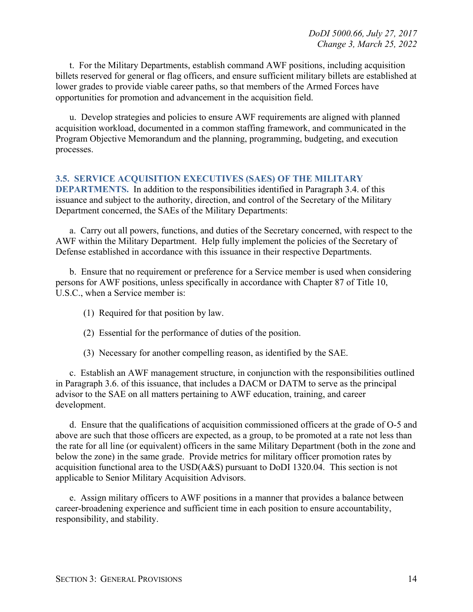t. For the Military Departments, establish command AWF positions, including acquisition billets reserved for general or flag officers, and ensure sufficient military billets are established at lower grades to provide viable career paths, so that members of the Armed Forces have opportunities for promotion and advancement in the acquisition field.

u. Develop strategies and policies to ensure AWF requirements are aligned with planned acquisition workload, documented in a common staffing framework, and communicated in the Program Objective Memorandum and the planning, programming, budgeting, and execution processes.

#### <span id="page-13-0"></span>**3.5. SERVICE ACQUISITION EXECUTIVES (SAES) OF THE MILITARY**

**DEPARTMENTS.** In addition to the responsibilities identified in Paragraph 3.4. of this issuance and subject to the authority, direction, and control of the Secretary of the Military Department concerned, the SAEs of the Military Departments:

a. Carry out all powers, functions, and duties of the Secretary concerned, with respect to the AWF within the Military Department. Help fully implement the policies of the Secretary of Defense established in accordance with this issuance in their respective Departments.

b. Ensure that no requirement or preference for a Service member is used when considering persons for AWF positions, unless specifically in accordance with Chapter 87 of Title 10, U.S.C., when a Service member is:

- (1) Required for that position by law.
- (2) Essential for the performance of duties of the position.
- (3) Necessary for another compelling reason, as identified by the SAE.

c. Establish an AWF management structure, in conjunction with the responsibilities outlined in Paragraph 3.6. of this issuance, that includes a DACM or DATM to serve as the principal advisor to the SAE on all matters pertaining to AWF education, training, and career development.

d. Ensure that the qualifications of acquisition commissioned officers at the grade of O-5 and above are such that those officers are expected, as a group, to be promoted at a rate not less than the rate for all line (or equivalent) officers in the same Military Department (both in the zone and below the zone) in the same grade. Provide metrics for military officer promotion rates by acquisition functional area to the USD(A&S) pursuant to DoDI 1320.04. This section is not applicable to Senior Military Acquisition Advisors.

e. Assign military officers to AWF positions in a manner that provides a balance between career-broadening experience and sufficient time in each position to ensure accountability, responsibility, and stability.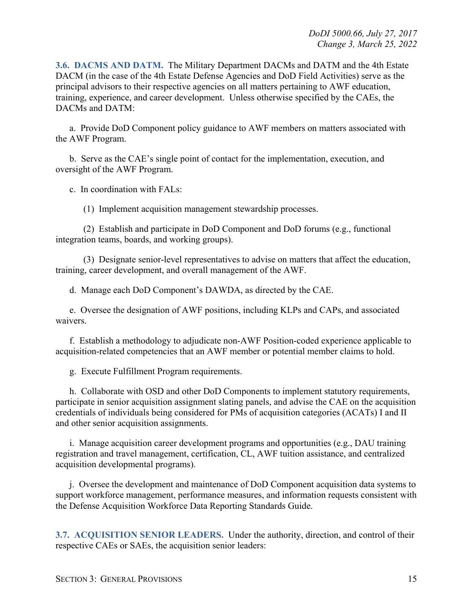<span id="page-14-0"></span>**3.6. DACMS AND DATM.** The Military Department DACMs and DATM and the 4th Estate DACM (in the case of the 4th Estate Defense Agencies and DoD Field Activities) serve as the principal advisors to their respective agencies on all matters pertaining to AWF education, training, experience, and career development. Unless otherwise specified by the CAEs, the DACMs and DATM:

a. Provide DoD Component policy guidance to AWF members on matters associated with the AWF Program.

b. Serve as the CAE's single point of contact for the implementation, execution, and oversight of the AWF Program.

c. In coordination with FALs:

(1) Implement acquisition management stewardship processes.

(2) Establish and participate in DoD Component and DoD forums (e.g., functional integration teams, boards, and working groups).

(3) Designate senior-level representatives to advise on matters that affect the education, training, career development, and overall management of the AWF.

d. Manage each DoD Component's DAWDA, as directed by the CAE.

e. Oversee the designation of AWF positions, including KLPs and CAPs, and associated waivers.

f. Establish a methodology to adjudicate non-AWF Position-coded experience applicable to acquisition-related competencies that an AWF member or potential member claims to hold.

g. Execute Fulfillment Program requirements.

h. Collaborate with OSD and other DoD Components to implement statutory requirements, participate in senior acquisition assignment slating panels, and advise the CAE on the acquisition credentials of individuals being considered for PMs of acquisition categories (ACATs) I and II and other senior acquisition assignments.

i. Manage acquisition career development programs and opportunities (e.g., DAU training registration and travel management, certification, CL, AWF tuition assistance, and centralized acquisition developmental programs).

j. Oversee the development and maintenance of DoD Component acquisition data systems to support workforce management, performance measures, and information requests consistent with the Defense Acquisition Workforce Data Reporting Standards Guide.

<span id="page-14-1"></span>**3.7. ACQUISITION SENIOR LEADERS.** Under the authority, direction, and control of their respective CAEs or SAEs, the acquisition senior leaders: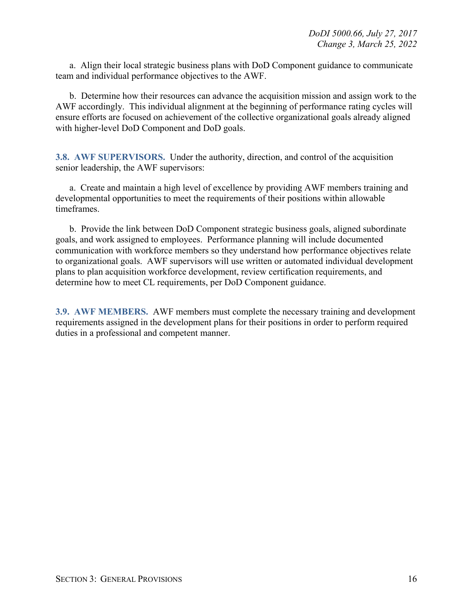a. Align their local strategic business plans with DoD Component guidance to communicate team and individual performance objectives to the AWF.

b. Determine how their resources can advance the acquisition mission and assign work to the AWF accordingly. This individual alignment at the beginning of performance rating cycles will ensure efforts are focused on achievement of the collective organizational goals already aligned with higher-level DoD Component and DoD goals.

<span id="page-15-0"></span>**3.8. AWF SUPERVISORS.** Under the authority, direction, and control of the acquisition senior leadership, the AWF supervisors:

a. Create and maintain a high level of excellence by providing AWF members training and developmental opportunities to meet the requirements of their positions within allowable timeframes.

b. Provide the link between DoD Component strategic business goals, aligned subordinate goals, and work assigned to employees. Performance planning will include documented communication with workforce members so they understand how performance objectives relate to organizational goals. AWF supervisors will use written or automated individual development plans to plan acquisition workforce development, review certification requirements, and determine how to meet CL requirements, per DoD Component guidance.

<span id="page-15-1"></span>**3.9. AWF MEMBERS.** AWF members must complete the necessary training and development requirements assigned in the development plans for their positions in order to perform required duties in a professional and competent manner.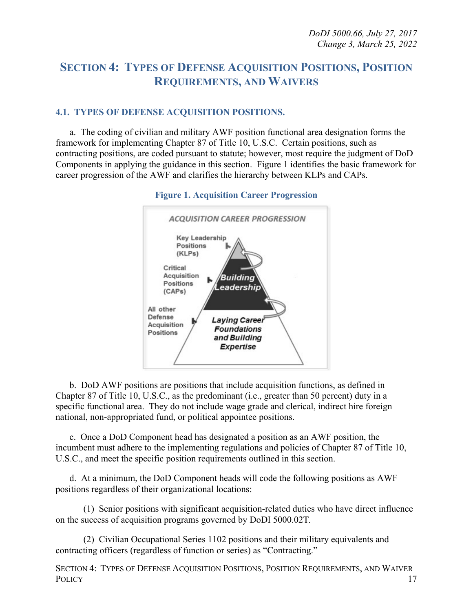## <span id="page-16-0"></span>**SECTION 4: TYPES OF DEFENSE ACQUISITION POSITIONS, POSITION REQUIREMENTS, AND WAIVERS**

#### <span id="page-16-1"></span>**4.1. TYPES OF DEFENSE ACQUISITION POSITIONS.**

a. The coding of civilian and military AWF position functional area designation forms the framework for implementing Chapter 87 of Title 10, U.S.C. Certain positions, such as contracting positions, are coded pursuant to statute; however, most require the judgment of DoD Components in applying the guidance in this section. Figure 1 identifies the basic framework for career progression of the AWF and clarifies the hierarchy between KLPs and CAPs.



#### **Figure 1. Acquisition Career Progression**

b. DoD AWF positions are positions that include acquisition functions, as defined in Chapter 87 of Title 10, U.S.C., as the predominant (i.e., greater than 50 percent) duty in a specific functional area. They do not include wage grade and clerical, indirect hire foreign national, non-appropriated fund, or political appointee positions.

c. Once a DoD Component head has designated a position as an AWF position, the incumbent must adhere to the implementing regulations and policies of Chapter 87 of Title 10, U.S.C., and meet the specific position requirements outlined in this section.

d. At a minimum, the DoD Component heads will code the following positions as AWF positions regardless of their organizational locations:

(1) Senior positions with significant acquisition-related duties who have direct influence on the success of acquisition programs governed by DoDI 5000.02T*.*

(2) Civilian Occupational Series 1102 positions and their military equivalents and contracting officers (regardless of function or series) as "Contracting."

SECTION 4: TYPES OF DEFENSE ACQUISITION POSITIONS, POSITION REQUIREMENTS, AND WAIVER POLICY and the set of the set of the set of the set of the set of the set of the set of the set of the set of the set of the set of the set of the set of the set of the set of the set of the set of the set of the set of th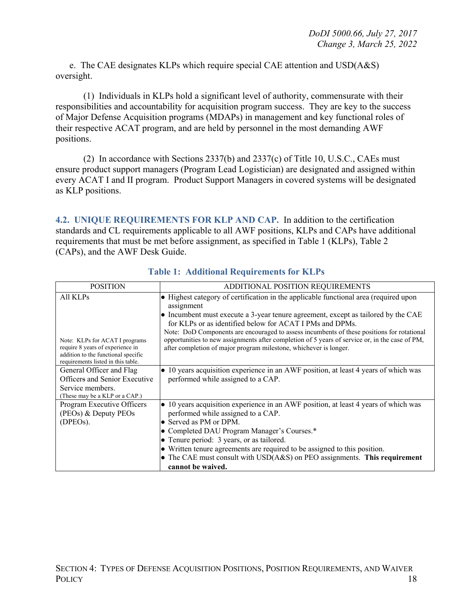e. The CAE designates KLPs which require special CAE attention and USD(A&S) oversight.

(1) Individuals in KLPs hold a significant level of authority, commensurate with their responsibilities and accountability for acquisition program success. They are key to the success of Major Defense Acquisition programs (MDAPs) in management and key functional roles of their respective ACAT program, and are held by personnel in the most demanding AWF positions.

(2) In accordance with Sections 2337(b) and 2337(c) of Title 10, U.S.C., CAEs must ensure product support managers (Program Lead Logistician) are designated and assigned within every ACAT I and II program. Product Support Managers in covered systems will be designated as KLP positions.

<span id="page-17-0"></span>**4.2. UNIQUE REQUIREMENTS FOR KLP AND CAP.** In addition to the certification standards and CL requirements applicable to all AWF positions, KLPs and CAPs have additional requirements that must be met before assignment, as specified in Table 1 (KLPs), Table 2 (CAPs), and the AWF Desk Guide.

| <b>POSITION</b>                                                                                                                                             | ADDITIONAL POSITION REQUIREMENTS                                                                                                                                                                                                                                                                                                                                                                                                                                                                                                 |
|-------------------------------------------------------------------------------------------------------------------------------------------------------------|----------------------------------------------------------------------------------------------------------------------------------------------------------------------------------------------------------------------------------------------------------------------------------------------------------------------------------------------------------------------------------------------------------------------------------------------------------------------------------------------------------------------------------|
| All KLPs<br>Note: KLPs for ACAT I programs<br>require 8 years of experience in<br>addition to the functional specific<br>requirements listed in this table. | • Highest category of certification in the applicable functional area (required upon<br>assignment<br>$\bullet$ Incumbent must execute a 3-year tenure agreement, except as tailored by the CAE<br>for KLPs or as identified below for ACAT I PMs and DPMs.<br>Note: DoD Components are encouraged to assess incumbents of these positions for rotational<br>opportunities to new assignments after completion of 5 years of service or, in the case of PM,<br>after completion of major program milestone, whichever is longer. |
| General Officer and Flag<br>Officers and Senior Executive<br>Service members.<br>(These may be a KLP or a CAP.)                                             | • 10 years acquisition experience in an AWF position, at least 4 years of which was<br>performed while assigned to a CAP.                                                                                                                                                                                                                                                                                                                                                                                                        |
| Program Executive Officers<br>(PEOs) & Deputy PEOs<br>$(DPEOs)$ .                                                                                           | • 10 years acquisition experience in an AWF position, at least 4 years of which was<br>performed while assigned to a CAP.<br>• Served as PM or DPM.<br>• Completed DAU Program Manager's Courses.*<br>• Tenure period: 3 years, or as tailored.<br>• Written tenure agreements are required to be assigned to this position.<br>• The CAE must consult with $USD(A&S)$ on PEO assignments. This requirement<br>cannot be waived.                                                                                                 |

**Table 1: Additional Requirements for KLPs**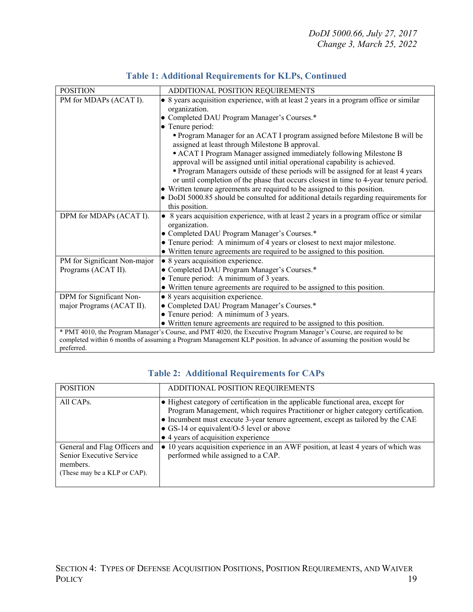| <b>POSITION</b>              | ADDITIONAL POSITION REQUIREMENTS                                                                                               |
|------------------------------|--------------------------------------------------------------------------------------------------------------------------------|
| PM for MDAPs (ACAT I).       | • 8 years acquisition experience, with at least 2 years in a program office or similar                                         |
|                              | organization.                                                                                                                  |
|                              | • Completed DAU Program Manager's Courses.*                                                                                    |
|                              | • Tenure period:                                                                                                               |
|                              | • Program Manager for an ACAT I program assigned before Milestone B will be<br>assigned at least through Milestone B approval. |
|                              | ACAT I Program Manager assigned immediately following Milestone B                                                              |
|                              | approval will be assigned until initial operational capability is achieved.                                                    |
|                              | • Program Managers outside of these periods will be assigned for at least 4 years                                              |
|                              | or until completion of the phase that occurs closest in time to 4-year tenure period.                                          |
|                              | • Written tenure agreements are required to be assigned to this position.                                                      |
|                              | • DoDI 5000.85 should be consulted for additional details regarding requirements for                                           |
|                              | this position.                                                                                                                 |
| DPM for MDAPs (ACAT I).      | • 8 years acquisition experience, with at least 2 years in a program office or similar                                         |
|                              | organization.                                                                                                                  |
|                              | • Completed DAU Program Manager's Courses.*                                                                                    |
|                              | • Tenure period: A minimum of 4 years or closest to next major milestone.                                                      |
|                              | • Written tenure agreements are required to be assigned to this position.                                                      |
| PM for Significant Non-major | • 8 years acquisition experience.                                                                                              |
| Programs (ACAT II).          | • Completed DAU Program Manager's Courses.*                                                                                    |
|                              | • Tenure period: A minimum of 3 years.                                                                                         |
|                              | • Written tenure agreements are required to be assigned to this position.                                                      |
| DPM for Significant Non-     | • 8 years acquisition experience.                                                                                              |
| major Programs (ACAT II).    | • Completed DAU Program Manager's Courses.*                                                                                    |
|                              | • Tenure period: A minimum of 3 years.                                                                                         |
|                              | • Written tenure agreements are required to be assigned to this position.                                                      |
|                              | * PMT 4010, the Program Manager's Course, and PMT 4020, the Executive Program Manager's Course, are required to be             |
|                              | completed within 6 months of assuming a Program Management KLP position. In advance of assuming the position would be          |
| preferred.                   |                                                                                                                                |

#### **Table 1: Additional Requirements for KLPs, Continued**

#### **Table 2: Additional Requirements for CAPs**

<span id="page-18-0"></span>

| <b>POSITION</b>                                                                                       | ADDITIONAL POSITION REQUIREMENTS                                                                                                                                                                                                                                                                                                                             |
|-------------------------------------------------------------------------------------------------------|--------------------------------------------------------------------------------------------------------------------------------------------------------------------------------------------------------------------------------------------------------------------------------------------------------------------------------------------------------------|
| All CAPs.                                                                                             | $\bullet$ Highest category of certification in the applicable functional area, except for<br>Program Management, which requires Practitioner or higher category certification.<br>• Incumbent must execute 3-year tenure agreement, except as tailored by the CAE<br>• GS-14 or equivalent/O-5 level or above<br>$\bullet$ 4 years of acquisition experience |
| General and Flag Officers and<br>Senior Executive Service<br>members.<br>(These may be a KLP or CAP). | $\bullet$ 10 years acquisition experience in an AWF position, at least 4 years of which was<br>performed while assigned to a CAP.                                                                                                                                                                                                                            |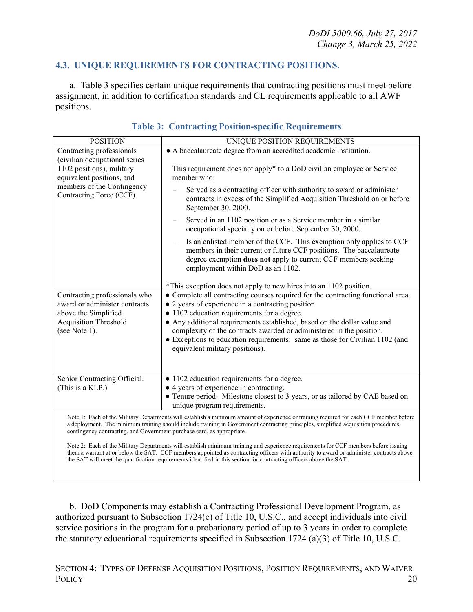#### **4.3. UNIQUE REQUIREMENTS FOR CONTRACTING POSITIONS.**

a. Table 3 specifies certain unique requirements that contracting positions must meet before assignment, in addition to certification standards and CL requirements applicable to all AWF positions.

| <b>POSITION</b>                                                        | UNIQUE POSITION REQUIREMENTS                                                                                                                                                                                                                                                                                                                                                                          |
|------------------------------------------------------------------------|-------------------------------------------------------------------------------------------------------------------------------------------------------------------------------------------------------------------------------------------------------------------------------------------------------------------------------------------------------------------------------------------------------|
| Contracting professionals<br>(civilian occupational series             | • A baccalaureate degree from an accredited academic institution.                                                                                                                                                                                                                                                                                                                                     |
| 1102 positions), military<br>equivalent positions, and                 | This requirement does not apply* to a DoD civilian employee or Service<br>member who:                                                                                                                                                                                                                                                                                                                 |
| members of the Contingency<br>Contracting Force (CCF).                 | Served as a contracting officer with authority to award or administer<br>contracts in excess of the Simplified Acquisition Threshold on or before<br>September 30, 2000.                                                                                                                                                                                                                              |
|                                                                        | Served in an 1102 position or as a Service member in a similar<br>occupational specialty on or before September 30, 2000.                                                                                                                                                                                                                                                                             |
|                                                                        | Is an enlisted member of the CCF. This exemption only applies to CCF<br>members in their current or future CCF positions. The baccalaureate<br>degree exemption does not apply to current CCF members seeking<br>employment within DoD as an 1102.                                                                                                                                                    |
|                                                                        | *This exception does not apply to new hires into an 1102 position.                                                                                                                                                                                                                                                                                                                                    |
| Contracting professionals who                                          | • Complete all contracting courses required for the contracting functional area.                                                                                                                                                                                                                                                                                                                      |
| award or administer contracts                                          | • 2 years of experience in a contracting position.                                                                                                                                                                                                                                                                                                                                                    |
| above the Simplified                                                   | · 1102 education requirements for a degree.                                                                                                                                                                                                                                                                                                                                                           |
| <b>Acquisition Threshold</b>                                           | • Any additional requirements established, based on the dollar value and                                                                                                                                                                                                                                                                                                                              |
| (see Note 1).                                                          | complexity of the contracts awarded or administered in the position.<br>• Exceptions to education requirements: same as those for Civilian 1102 (and                                                                                                                                                                                                                                                  |
|                                                                        | equivalent military positions).                                                                                                                                                                                                                                                                                                                                                                       |
|                                                                        |                                                                                                                                                                                                                                                                                                                                                                                                       |
|                                                                        |                                                                                                                                                                                                                                                                                                                                                                                                       |
| Senior Contracting Official.                                           | • 1102 education requirements for a degree.                                                                                                                                                                                                                                                                                                                                                           |
| (This is a KLP.)                                                       | • 4 years of experience in contracting.                                                                                                                                                                                                                                                                                                                                                               |
|                                                                        | • Tenure period: Milestone closest to 3 years, or as tailored by CAE based on                                                                                                                                                                                                                                                                                                                         |
|                                                                        | unique program requirements.                                                                                                                                                                                                                                                                                                                                                                          |
| contingency contracting, and Government purchase card, as appropriate. | Note 1: Each of the Military Departments will establish a minimum amount of experience or training required for each CCF member before<br>a deployment. The minimum training should include training in Government contracting principles, simplified acquisition procedures,                                                                                                                         |
|                                                                        | Note 2: Each of the Military Departments will establish minimum training and experience requirements for CCF members before issuing<br>them a warrant at or below the SAT. CCF members appointed as contracting officers with authority to award or administer contracts above<br>the SAT will meet the qualification requirements identified in this section for contracting officers above the SAT. |

#### **Table 3: Contracting Position-specific Requirements**

b. DoD Components may establish a Contracting Professional Development Program, as authorized pursuant to Subsection 1724(e) of Title 10, U.S.C., and accept individuals into civil service positions in the program for a probationary period of up to 3 years in order to complete the statutory educational requirements specified in Subsection 1724 (a)(3) of Title 10, U.S.C.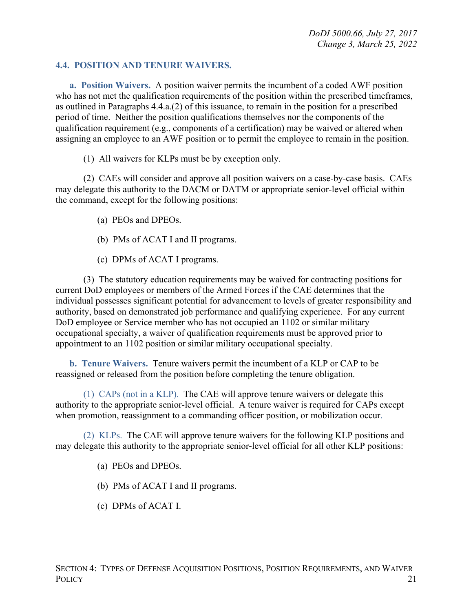#### <span id="page-20-0"></span>**4.4. POSITION AND TENURE WAIVERS.**

<span id="page-20-1"></span>**a. Position Waivers.** A position waiver permits the incumbent of a coded AWF position who has not met the qualification requirements of the position within the prescribed timeframes, as outlined in Paragraphs 4.4.a.(2) of this issuance, to remain in the position for a prescribed period of time. Neither the position qualifications themselves nor the components of the qualification requirement (e.g., components of a certification) may be waived or altered when assigning an employee to an AWF position or to permit the employee to remain in the position.

(1) All waivers for KLPs must be by exception only.

(2) CAEs will consider and approve all position waivers on a case-by-case basis. CAEs may delegate this authority to the DACM or DATM or appropriate senior-level official within the command, except for the following positions:

(a) PEOs and DPEOs.

- (b) PMs of ACAT I and II programs.
- (c) DPMs of ACAT I programs.

(3) The statutory education requirements may be waived for contracting positions for current DoD employees or members of the Armed Forces if the CAE determines that the individual possesses significant potential for advancement to levels of greater responsibility and authority, based on demonstrated job performance and qualifying experience. For any current DoD employee or Service member who has not occupied an 1102 or similar military occupational specialty, a waiver of qualification requirements must be approved prior to appointment to an 1102 position or similar military occupational specialty.

<span id="page-20-2"></span>**b. Tenure Waivers.** Tenure waivers permit the incumbent of a KLP or CAP to be reassigned or released from the position before completing the tenure obligation.

(1) CAPs (not in a KLP). The CAE will approve tenure waivers or delegate this authority to the appropriate senior-level official. A tenure waiver is required for CAPs except when promotion, reassignment to a commanding officer position, or mobilization occur.

(2) KLPs. The CAE will approve tenure waivers for the following KLP positions and may delegate this authority to the appropriate senior-level official for all other KLP positions:

(a) PEOs and DPEOs.

(b) PMs of ACAT I and II programs.

(c) DPMs of ACAT I.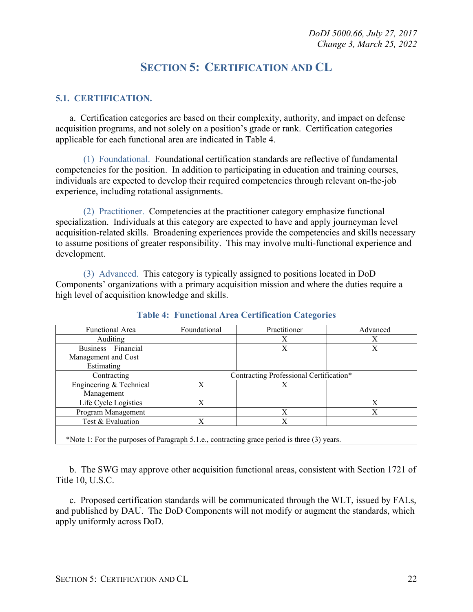## **SECTION 5: CERTIFICATION AND CL**

#### <span id="page-21-1"></span><span id="page-21-0"></span>**5.1. CERTIFICATION.**

a. Certification categories are based on their complexity, authority, and impact on defense acquisition programs, and not solely on a position's grade or rank. Certification categories applicable for each functional area are indicated in Table 4.

(1) Foundational. Foundational certification standards are reflective of fundamental competencies for the position. In addition to participating in education and training courses, individuals are expected to develop their required competencies through relevant on-the-job experience, including rotational assignments.

(2) Practitioner. Competencies at the practitioner category emphasize functional specialization. Individuals at this category are expected to have and apply journeyman level acquisition-related skills. Broadening experiences provide the competencies and skills necessary to assume positions of greater responsibility. This may involve multi-functional experience and development.

(3) Advanced. This category is typically assigned to positions located in DoD Components' organizations with a primary acquisition mission and where the duties require a high level of acquisition knowledge and skills.

| Functional Area                                                                             | Foundational                            | Practitioner | Advanced |
|---------------------------------------------------------------------------------------------|-----------------------------------------|--------------|----------|
| <b>Auditing</b>                                                                             |                                         | X            | X        |
| Business – Financial                                                                        |                                         | X            | X        |
| Management and Cost                                                                         |                                         |              |          |
| Estimating                                                                                  |                                         |              |          |
| Contracting                                                                                 | Contracting Professional Certification* |              |          |
| Engineering & Technical                                                                     | X                                       | X            |          |
| Management                                                                                  |                                         |              |          |
| Life Cycle Logistics                                                                        | X                                       |              | Χ        |
| Program Management                                                                          |                                         | X            | X        |
| Test & Evaluation                                                                           | X                                       | X            |          |
| *Note 1: For the purposes of Paragraph 5.1.e., contracting grace period is three (3) years. |                                         |              |          |

**Table 4: Functional Area Certification Categories**

b. The SWG may approve other acquisition functional areas, consistent with Section 1721 of Title 10, U.S.C.

c. Proposed certification standards will be communicated through the WLT, issued by FALs, and published by DAU. The DoD Components will not modify or augment the standards, which apply uniformly across DoD.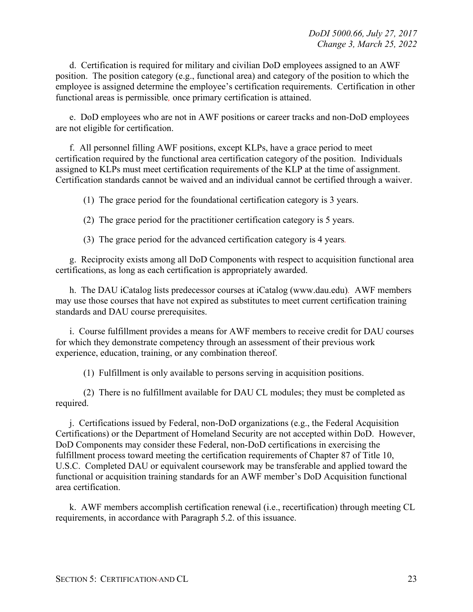d. Certification is required for military and civilian DoD employees assigned to an AWF position. The position category (e.g., functional area) and category of the position to which the employee is assigned determine the employee's certification requirements. Certification in other functional areas is permissible*,* once primary certification is attained.

e. DoD employees who are not in AWF positions or career tracks and non-DoD employees are not eligible for certification.

f. All personnel filling AWF positions, except KLPs, have a grace period to meet certification required by the functional area certification category of the position. Individuals assigned to KLPs must meet certification requirements of the KLP at the time of assignment. Certification standards cannot be waived and an individual cannot be certified through a waiver.

(1) The grace period for the foundational certification category is 3 years.

(2) The grace period for the practitioner certification category is 5 years.

(3) The grace period for the advanced certification category is 4 years*.*

g. Reciprocity exists among all DoD Components with respect to acquisition functional area certifications, as long as each certification is appropriately awarded.

h. The DAU iCatalog lists predecessor courses at iCatalog (www.dau.edu)*.* AWF members may use those courses that have not expired as substitutes to meet current certification training standards and DAU course prerequisites.

i. Course fulfillment provides a means for AWF members to receive credit for DAU courses for which they demonstrate competency through an assessment of their previous work experience, education, training, or any combination thereof.

(1) Fulfillment is only available to persons serving in acquisition positions.

(2) There is no fulfillment available for DAU CL modules; they must be completed as required.

j. Certifications issued by Federal, non-DoD organizations (e.g., the Federal Acquisition Certifications) or the Department of Homeland Security are not accepted within DoD. However, DoD Components may consider these Federal, non-DoD certifications in exercising the fulfillment process toward meeting the certification requirements of Chapter 87 of Title 10, U.S.C. Completed DAU or equivalent coursework may be transferable and applied toward the functional or acquisition training standards for an AWF member's DoD Acquisition functional area certification.

k. AWF members accomplish certification renewal (i.e., recertification) through meeting CL requirements, in accordance with Paragraph 5.2. of this issuance.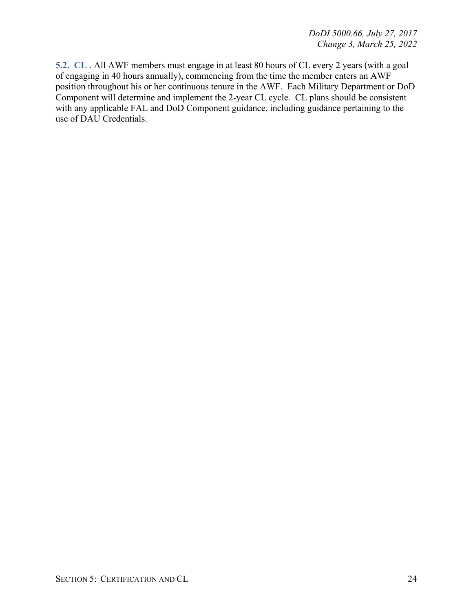<span id="page-23-0"></span>**5.2. CL .** All AWF members must engage in at least 80 hours of CL every 2 years (with a goal of engaging in 40 hours annually), commencing from the time the member enters an AWF position throughout his or her continuous tenure in the AWF. Each Military Department or DoD Component will determine and implement the 2-year CL cycle. CL plans should be consistent with any applicable FAL and DoD Component guidance, including guidance pertaining to the use of DAU Credentials.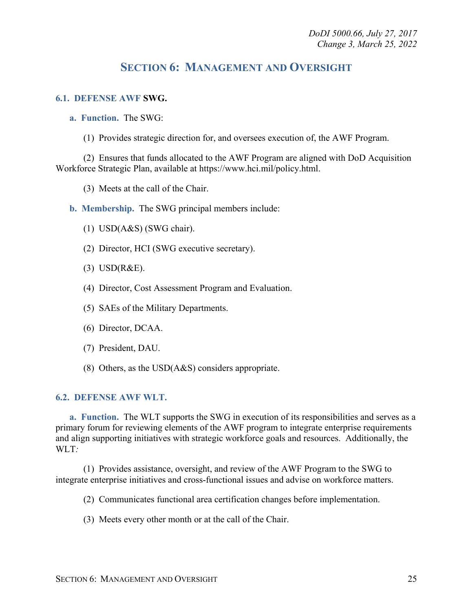### **SECTION 6: MANAGEMENT AND OVERSIGHT**

#### <span id="page-24-1"></span><span id="page-24-0"></span>**6.1. DEFENSE AWF SWG.**

<span id="page-24-2"></span>**a. Function.** The SWG:

(1) Provides strategic direction for, and oversees execution of, the AWF Program.

(2) Ensures that funds allocated to the AWF Program are aligned with DoD Acquisition Workforce Strategic Plan, available at https://www.hci.mil/policy.html.

(3) Meets at the call of the Chair.

<span id="page-24-3"></span>**b. Membership.** The SWG principal members include:

- (1) USD(A&S) (SWG chair).
- (2) Director, HCI (SWG executive secretary).
- (3) USD(R&E).
- (4) Director, Cost Assessment Program and Evaluation.
- (5) SAEs of the Military Departments.
- (6)Director, DCAA.
- (7) President, DAU.
- (8) Others, as the USD(A&S) considers appropriate.

#### <span id="page-24-4"></span>**6.2. DEFENSE AWF WLT.**

<span id="page-24-5"></span>**a. Function.** The WLT supports the SWG in execution of its responsibilities and serves as a primary forum for reviewing elements of the AWF program to integrate enterprise requirements and align supporting initiatives with strategic workforce goals and resources. Additionally, the WLT*:*

(1) Provides assistance, oversight, and review of the AWF Program to the SWG to integrate enterprise initiatives and cross-functional issues and advise on workforce matters.

(2) Communicates functional area certification changes before implementation.

(3) Meets every other month or at the call of the Chair.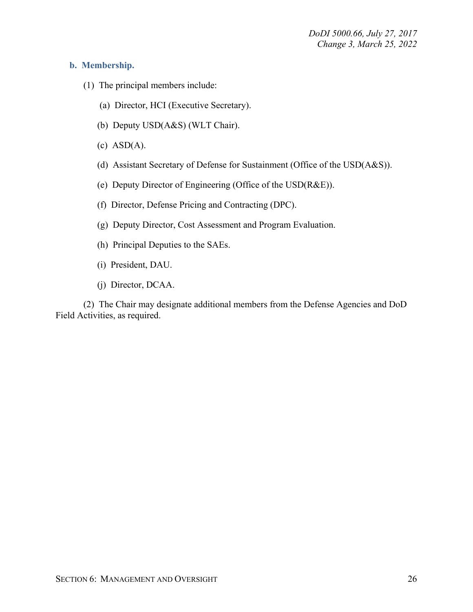#### <span id="page-25-0"></span>**b. Membership.**

- (1) The principal members include:
	- (a) Director, HCI (Executive Secretary).
	- (b) Deputy USD(A&S) (WLT Chair).
	- $(c)$  ASD $(A)$ .
	- (d) Assistant Secretary of Defense for Sustainment (Office of the USD(A&S)).
	- (e) Deputy Director of Engineering (Office of the USD(R&E)).
	- (f) Director, Defense Pricing and Contracting (DPC).
	- (g) Deputy Director, Cost Assessment and Program Evaluation.
	- (h) Principal Deputies to the SAEs.
	- (i) President, DAU.
	- (j) Director, DCAA.

(2) The Chair may designate additional members from the Defense Agencies and DoD Field Activities, as required.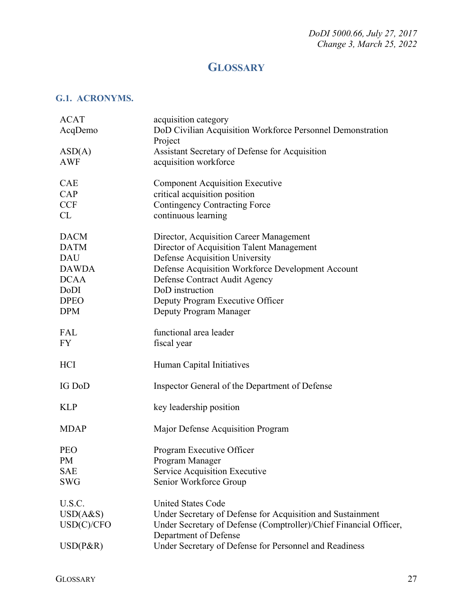## **GLOSSARY**

#### <span id="page-26-1"></span><span id="page-26-0"></span>**G.1. ACRONYMS.**

| <b>ACAT</b>  | acquisition category                                              |
|--------------|-------------------------------------------------------------------|
| AcqDemo      | DoD Civilian Acquisition Workforce Personnel Demonstration        |
|              | Project                                                           |
| ASD(A)       | Assistant Secretary of Defense for Acquisition                    |
| <b>AWF</b>   | acquisition workforce                                             |
|              |                                                                   |
| <b>CAE</b>   | <b>Component Acquisition Executive</b>                            |
| CAP          | critical acquisition position                                     |
| <b>CCF</b>   | <b>Contingency Contracting Force</b>                              |
| CL           | continuous learning                                               |
|              |                                                                   |
| <b>DACM</b>  | Director, Acquisition Career Management                           |
| <b>DATM</b>  | Director of Acquisition Talent Management                         |
| <b>DAU</b>   | Defense Acquisition University                                    |
| <b>DAWDA</b> | Defense Acquisition Workforce Development Account                 |
|              |                                                                   |
| <b>DCAA</b>  | Defense Contract Audit Agency                                     |
| DoDI         | DoD instruction                                                   |
| <b>DPEO</b>  | Deputy Program Executive Officer                                  |
| <b>DPM</b>   | Deputy Program Manager                                            |
|              |                                                                   |
| FAL          | functional area leader                                            |
| <b>FY</b>    | fiscal year                                                       |
| <b>HCI</b>   | Human Capital Initiatives                                         |
|              |                                                                   |
| IG DoD       | Inspector General of the Department of Defense                    |
|              |                                                                   |
| <b>KLP</b>   | key leadership position                                           |
|              |                                                                   |
| <b>MDAP</b>  | Major Defense Acquisition Program                                 |
| <b>PEO</b>   | Program Executive Officer                                         |
| PM           | Program Manager                                                   |
| <b>SAE</b>   | Service Acquisition Executive                                     |
| <b>SWG</b>   |                                                                   |
|              | Senior Workforce Group                                            |
| U.S.C.       | <b>United States Code</b>                                         |
| USD(A&S)     | Under Secretary of Defense for Acquisition and Sustainment        |
| USD(C)/CFO   | Under Secretary of Defense (Comptroller)/Chief Financial Officer, |
|              | Department of Defense                                             |
| $USD(P\&R)$  | Under Secretary of Defense for Personnel and Readiness            |
|              |                                                                   |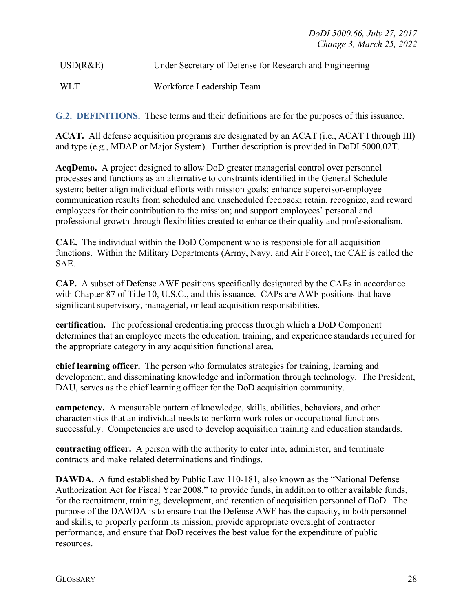## USD(R&E) Under Secretary of Defense for Research and Engineering

#### <span id="page-27-0"></span>WLT Workforce Leadership Team

**G.2. DEFINITIONS.** These terms and their definitions are for the purposes of this issuance.

**ACAT.** All defense acquisition programs are designated by an ACAT (i.e., ACAT I through III) and type (e.g., MDAP or Major System). Further description is provided in DoDI 5000.02T.

**AcqDemo.** A project designed to allow DoD greater managerial control over personnel processes and functions as an alternative to constraints identified in the General Schedule system; better align individual efforts with mission goals; enhance supervisor-employee communication results from scheduled and unscheduled feedback; retain, recognize, and reward employees for their contribution to the mission; and support employees' personal and professional growth through flexibilities created to enhance their quality and professionalism.

**CAE.** The individual within the DoD Component who is responsible for all acquisition functions. Within the Military Departments (Army, Navy, and Air Force), the CAE is called the SAE.

**CAP.** A subset of Defense AWF positions specifically designated by the CAEs in accordance with Chapter 87 of Title 10, U.S.C., and this issuance. CAPs are AWF positions that have significant supervisory, managerial, or lead acquisition responsibilities.

**certification.** The professional credentialing process through which a DoD Component determines that an employee meets the education, training, and experience standards required for the appropriate category in any acquisition functional area.

**chief learning officer.** The person who formulates strategies for training, learning and development, and disseminating knowledge and information through technology. The President, DAU, serves as the chief learning officer for the DoD acquisition community.

**competency.** A measurable pattern of knowledge, skills, abilities, behaviors, and other characteristics that an individual needs to perform work roles or occupational functions successfully. Competencies are used to develop acquisition training and education standards.

**contracting officer.** A person with the authority to enter into, administer, and terminate contracts and make related determinations and findings.

**DAWDA.** A fund established by Public Law 110-181, also known as the "National Defense" Authorization Act for Fiscal Year 2008," to provide funds, in addition to other available funds, for the recruitment, training, development, and retention of acquisition personnel of DoD. The purpose of the DAWDA is to ensure that the Defense AWF has the capacity, in both personnel and skills, to properly perform its mission, provide appropriate oversight of contractor performance, and ensure that DoD receives the best value for the expenditure of public resources.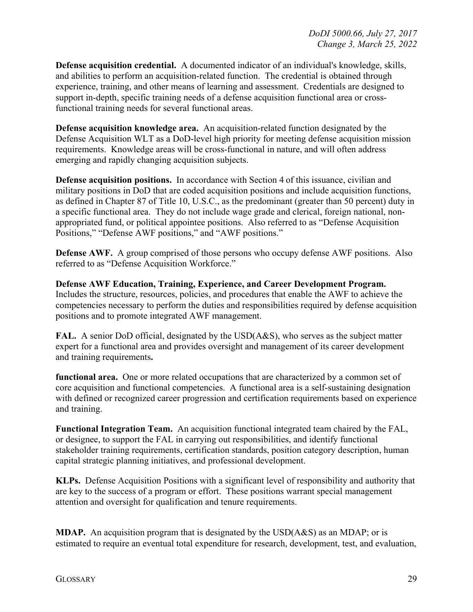**Defense acquisition credential.** A documented indicator of an individual's knowledge, skills, and abilities to perform an acquisition-related function. The credential is obtained through experience, training, and other means of learning and assessment. Credentials are designed to support in-depth, specific training needs of a defense acquisition functional area or crossfunctional training needs for several functional areas.

**Defense acquisition knowledge area.** An acquisition-related function designated by the Defense Acquisition WLT as a DoD-level high priority for meeting defense acquisition mission requirements. Knowledge areas will be cross-functional in nature, and will often address emerging and rapidly changing acquisition subjects.

**Defense acquisition positions.** In accordance with Section 4 of this issuance, civilian and military positions in DoD that are coded acquisition positions and include acquisition functions, as defined in Chapter 87 of Title 10, U.S.C., as the predominant (greater than 50 percent) duty in a specific functional area. They do not include wage grade and clerical, foreign national, nonappropriated fund, or political appointee positions. Also referred to as "Defense Acquisition Positions," "Defense AWF positions," and "AWF positions."

**Defense AWF.** A group comprised of those persons who occupy defense AWF positions. Also referred to as "Defense Acquisition Workforce."

**Defense AWF Education, Training, Experience, and Career Development Program.** Includes the structure, resources, policies, and procedures that enable the AWF to achieve the competencies necessary to perform the duties and responsibilities required by defense acquisition positions and to promote integrated AWF management.

**FAL.** A senior DoD official, designated by the USD(A&S), who serves as the subject matter expert for a functional area and provides oversight and management of its career development and training requirements**.** 

**functional area.** One or more related occupations that are characterized by a common set of core acquisition and functional competencies. A functional area is a self-sustaining designation with defined or recognized career progression and certification requirements based on experience and training.

**Functional Integration Team.** An acquisition functional integrated team chaired by the FAL, or designee, to support the FAL in carrying out responsibilities, and identify functional stakeholder training requirements, certification standards, position category description, human capital strategic planning initiatives, and professional development.

**KLPs.** Defense Acquisition Positions with a significant level of responsibility and authority that are key to the success of a program or effort. These positions warrant special management attention and oversight for qualification and tenure requirements.

**MDAP.** An acquisition program that is designated by the USD(A&S) as an MDAP; or is estimated to require an eventual total expenditure for research, development, test, and evaluation,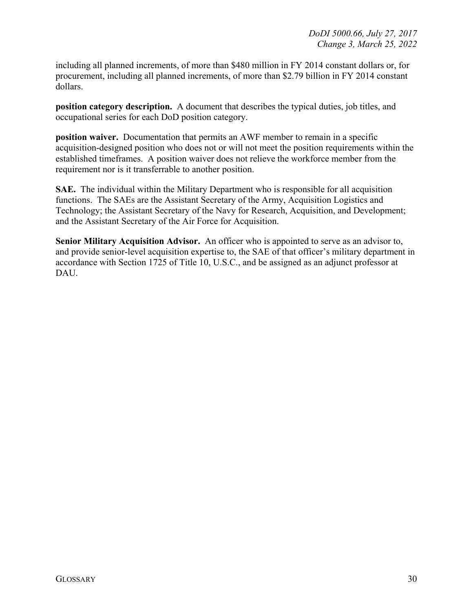including all planned increments, of more than \$480 million in FY 2014 constant dollars or, for procurement, including all planned increments, of more than \$2.79 billion in FY 2014 constant dollars.

**position category description.** A document that describes the typical duties, job titles, and occupational series for each DoD position category.

**position waiver.** Documentation that permits an AWF member to remain in a specific acquisition-designed position who does not or will not meet the position requirements within the established timeframes. A position waiver does not relieve the workforce member from the requirement nor is it transferrable to another position.

**SAE.** The individual within the Military Department who is responsible for all acquisition functions. The SAEs are the Assistant Secretary of the Army, Acquisition Logistics and Technology; the Assistant Secretary of the Navy for Research, Acquisition, and Development; and the Assistant Secretary of the Air Force for Acquisition.

**Senior Military Acquisition Advisor.** An officer who is appointed to serve as an advisor to, and provide senior-level acquisition expertise to, the SAE of that officer's military department in accordance with Section 1725 of Title 10, U.S.C., and be assigned as an adjunct professor at DAU.